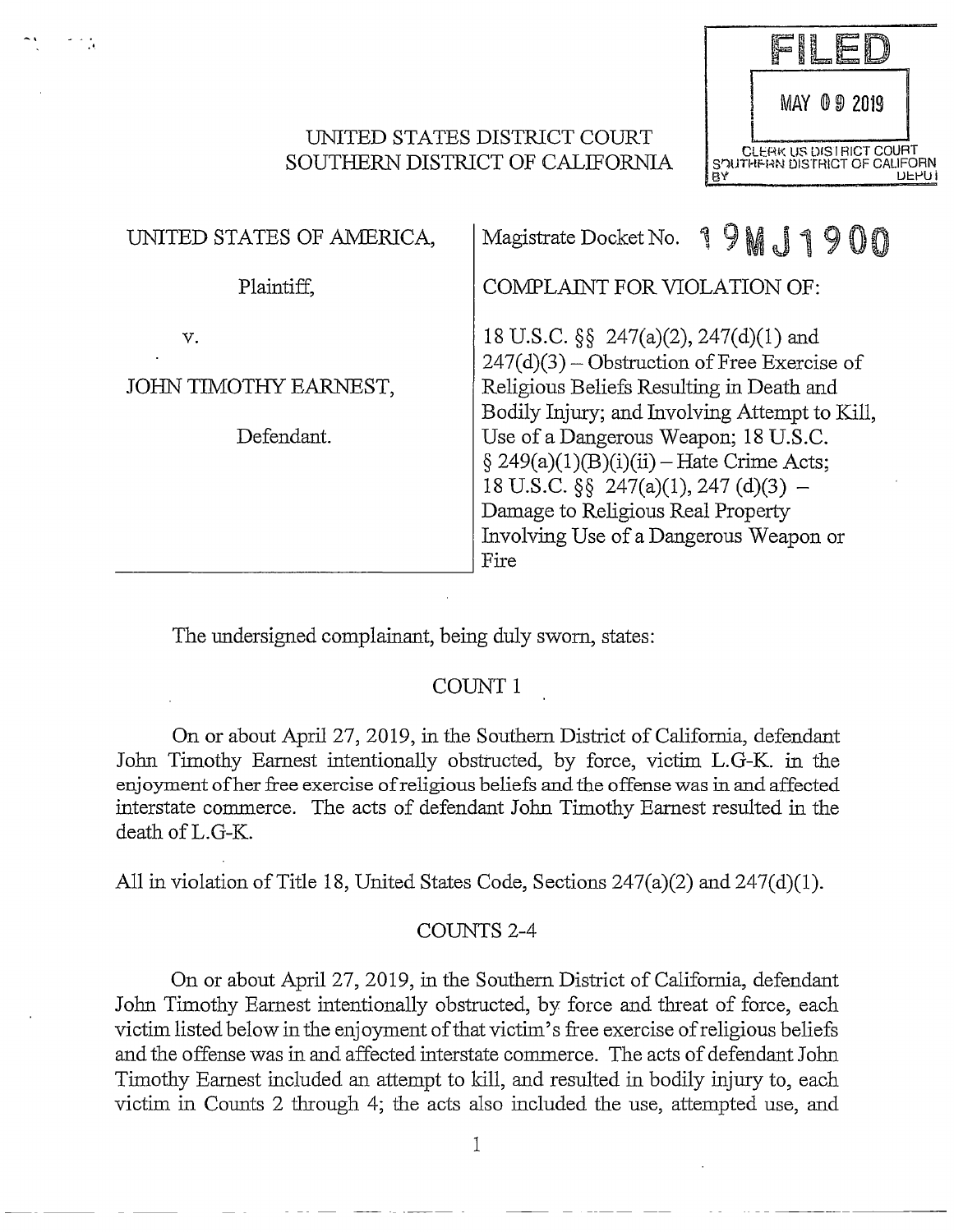### UNITED STATES DISTRICT COURT SOUTHERN DISTRICT OF CALIFORNIA

 $\mathcal{L}_{\mathcal{A}}$ 



| UNITED STATES OF AMERICA, | ٩<br>Magistrate Docket No.<br>Y<br>M                                                                                                                                                                                   |
|---------------------------|------------------------------------------------------------------------------------------------------------------------------------------------------------------------------------------------------------------------|
| Plaintiff,                | COMPLAINT FOR VIOLATION OF:                                                                                                                                                                                            |
| v.                        | 18 U.S.C. $\S$ 247(a)(2), 247(d)(1) and<br>$247(d)(3)$ – Obstruction of Free Exercise of                                                                                                                               |
| JOHN TIMOTHY EARNEST,     | Religious Beliefs Resulting in Death and<br>Bodily Injury; and Involving Attempt to Kill,                                                                                                                              |
| Defendant.                | Use of a Dangerous Weapon; 18 U.S.C.<br>$\S 249(a)(1)(B)(i)(ii)$ – Hate Crime Acts;<br>18 U.S.C. $\S$ , 247(a)(1), 247 (d)(3) –<br>Damage to Religious Real Property<br>Involving Use of a Dangerous Weapon or<br>Fire |

The undersigned complainant, being duly sworn, states:

## COUNT 1

On or about April 27, 2019, in the Southern District of California, defendant John Timothy Earnest intentionally obstructed, by force, victim L.G-K. in the enjoyment ofher free exercise of religious beliefs and the offense was in and affected interstate commerce. The acts of defendant John Timothy Earnest resulted in the death of L.G-K.

All in violation of Title 18, United States Code, Sections 247(a)(2) and 247(d)(l).

## COUNTS 2-4

On or about April 27, 2019, in the Southern District of California, defendant John Timothy Earnest intentionally obstructed, by force and threat of force, each victim listed below in the enjoyment of that victim's free exercise of religious beliefs and the offense was in and affected interstate commerce. The acts of defendant John Timothy Earnest included an attempt to kill, and resulted in bodily injury to, each victim in Counts 2 through 4; the acts also included the use, attempted use, and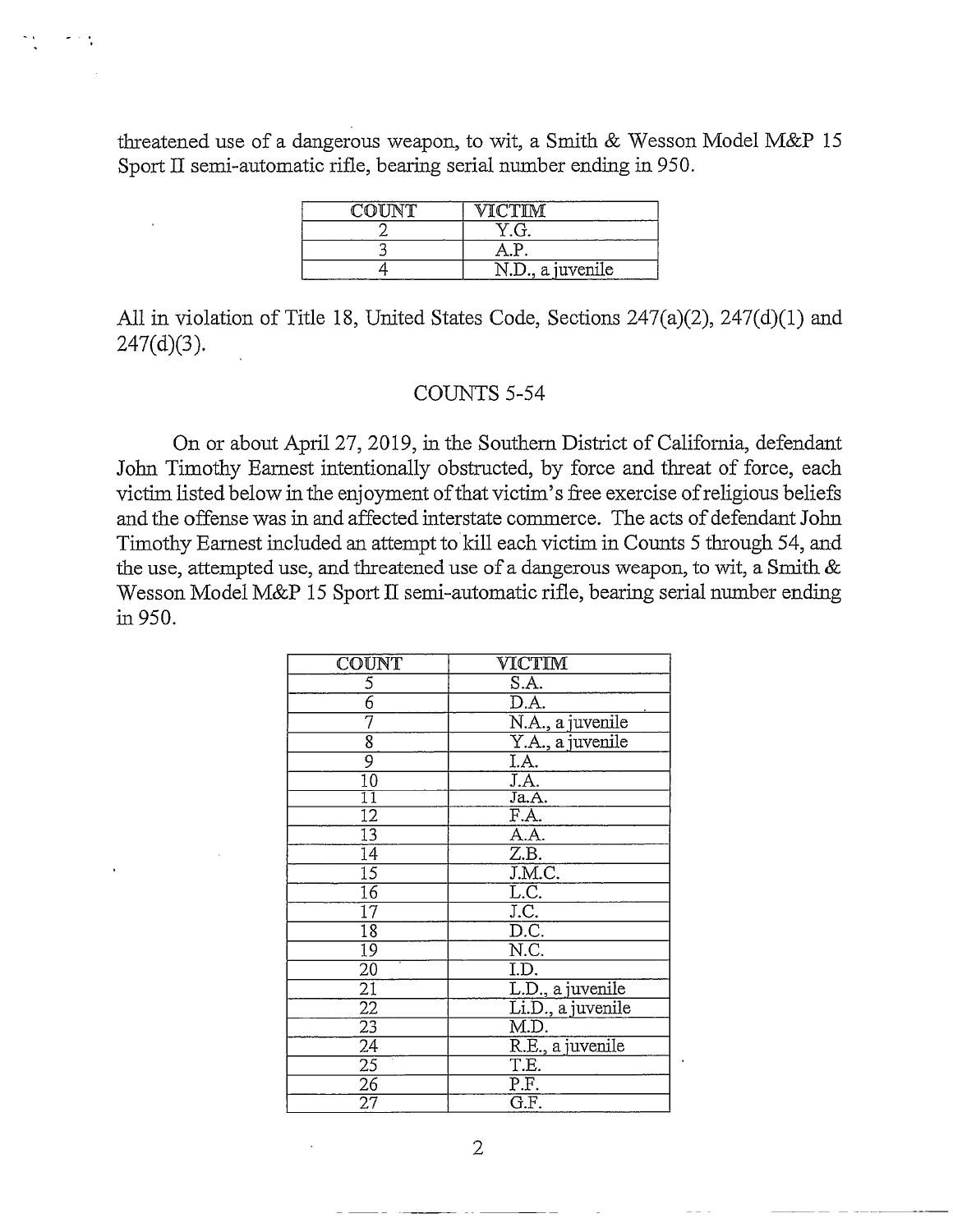threatened use of a dangerous weapon, to wit, a Smith  $\&$  Wesson Model M&P 15 Sport II semi-automatic rifle, bearing serial number ending in 950.

| <b>TRIA</b> |                  |
|-------------|------------------|
|             |                  |
|             | A.J              |
|             | N.D., a juvenile |

All in violation of Title 18, United States Code, Sections 247(a)(2), 247(d)(l) and  $247(d)(3)$ .

### COUNTS 5-54

On or about April 27, 2019, in the Southern District of California, defendant John Timothy Earnest intentionally obstructed, by force and threat of force, each victim listed below in the enjoyment of that victim's free exercise of religious beliefs and the offense was in and affected interstate commerce. The acts of defendant John Timothy Earnest included an attempt to kill each victim in Counts 5 through 54, and the use, attempted use, and threatened use of a dangerous weapon, to wit, a Smith & Wesson Model M&P 15 Sport II semi-automatic rifle, bearing serial number ending in 950.

| COUNT                              | VICTIM                                |
|------------------------------------|---------------------------------------|
| $\overline{5}$                     | $\overline{S.A.}$                     |
| $\overline{6}$                     | D.A.                                  |
|                                    | N.A., a juvenile                      |
| $\overline{8}$                     | Y.A., a juvenile                      |
| $\overline{9}$                     | I.A.                                  |
| $\overline{10}$                    | J.A.                                  |
| $\frac{11}{12}$                    | $\frac{1}{\text{Ja.A.}}$              |
|                                    |                                       |
| $\overline{13}$                    |                                       |
| $\overline{14}$                    |                                       |
| $\overline{15}$                    | F.A.<br>F.A.<br><u>Z.B.</u><br>J.M.C. |
| $\overline{16}$                    | L.C.                                  |
| $\overline{17}$                    | $\overline{J.C.}$                     |
| $\overline{18}$                    | $\overline{D.C.}$                     |
| 19                                 | N.C.                                  |
| $\overline{20}$                    | $\overline{\text{ID}}$ .              |
| $\frac{21}{22}$<br>$\frac{22}{23}$ | L.D., a juvenile                      |
|                                    | Li.D., a juvenile<br>M.D.             |
|                                    |                                       |
| $\overline{24}$                    | R.E., a juvenile                      |
| $\overline{25}$                    | T.E.                                  |
| $\overline{26}$                    | $\overline{P.F.}$                     |
| $\overline{27}$                    | $\overline{\text{G.F.}}$              |

2

~-- --- ~~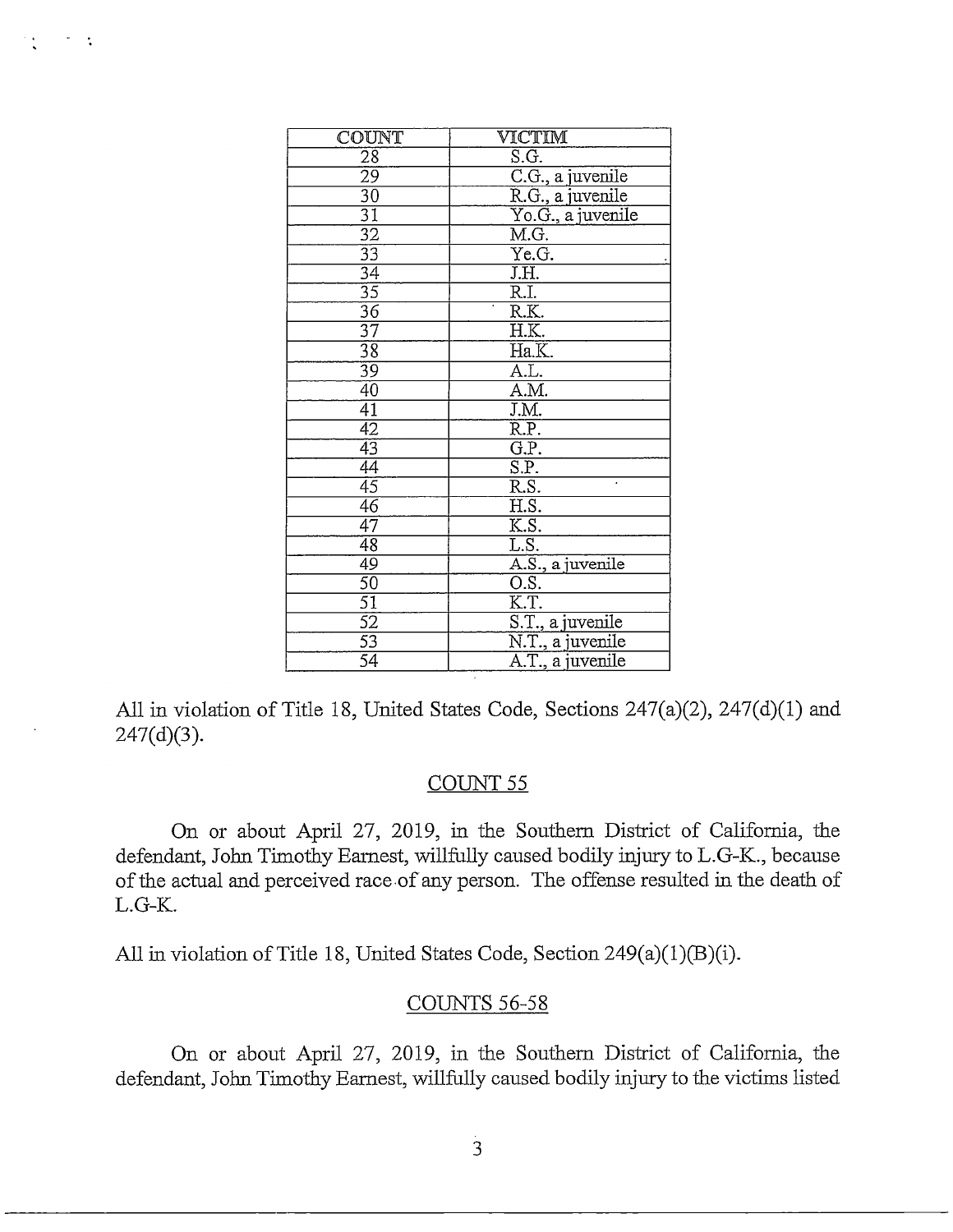| COUNT                              | VICTIM                                    |
|------------------------------------|-------------------------------------------|
| $\overline{28}$                    | S.G.                                      |
| $\overline{29}$                    | C.G., a juvenile                          |
|                                    | R.G., a juvenile                          |
|                                    | Yo.G., a juvenile                         |
| $\frac{30}{31}$<br>$\frac{32}{33}$ | M.G.                                      |
|                                    | $\overline{Y}$ e.G.                       |
| $\frac{\frac{35}{34}}{35}$         | <u>J.H.</u><br>R.I.                       |
|                                    |                                           |
| $\overline{36}$                    | <u>R.K.</u><br>H.K.                       |
| $\frac{1}{37}$                     |                                           |
|                                    | Ha.K.                                     |
| $\overline{39}$                    | A.L.                                      |
| $\overline{40}$                    | $\overline{AM.}$                          |
| $\overline{41}$                    | J.M.                                      |
| 42                                 | <u>R.P.</u>                               |
| $\overline{43}$                    | $\frac{\overline{G.P.}}{\overline{S.P.}}$ |
| $\overline{44}$                    |                                           |
| $\overline{45}$                    | R.S.                                      |
| $\overline{46}$                    |                                           |
| 47                                 | H.S.<br>K.S.                              |
| $\overline{48}$                    | $\overline{L.S.}$                         |
| 49                                 | A.S., a juvenile<br>O.S.                  |
| $\overline{50}$                    |                                           |
| $rac{51}{52}$<br>$rac{52}{53}$     | <u>K.T.</u>                               |
|                                    | S.T., a juvenile<br>N.T., a juvenile      |
|                                    |                                           |
| 54                                 | A.T., a juvenile                          |

 $\ddot{\phantom{a}}$ 

All in violation of Title 18, United States Code, Sections 247(a)(2), 247(d)(l) and 247(d)(3).

### COUNT 55

On or about April 27, 2019, in the Southern District of California, the defendant, John Timothy Earnest, willfully caused bodily injury to L.G-K., because of the actual and perceived race of any person. The offense resulted in the death of L.G-K.

All in violation of Title 18, United States Code, Section 249(a)(1)(B)(i).

# COUNTS 56-58

On or about April 27, 2019, in the Southern District of California, the defendant, John Timothy Earnest, willfully caused bodily injury to the victims listed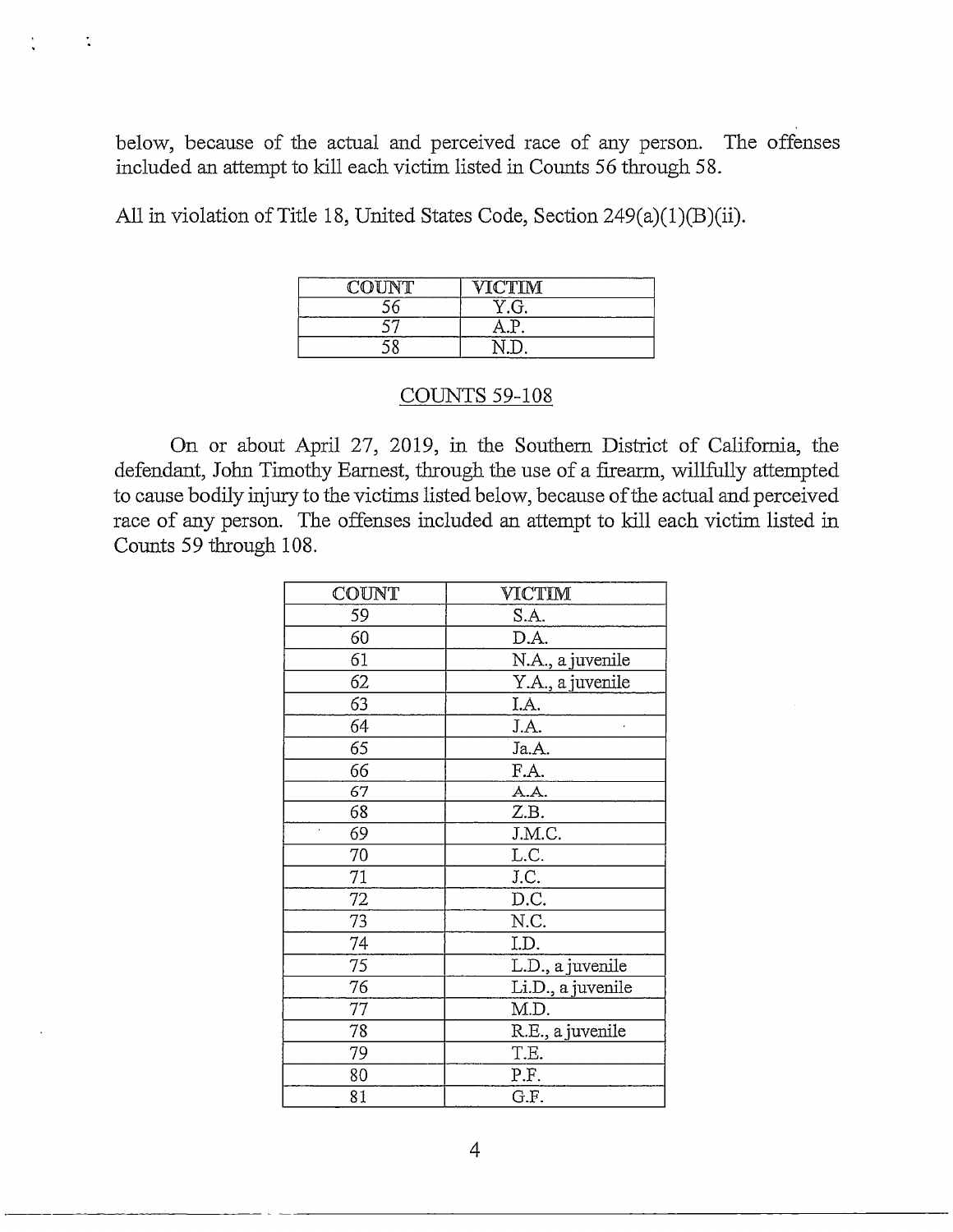below, because of the actual and perceived race of any person. The offenses included an attempt to kill each victim listed in Counts 56 through 58.

All in violation of Title 18, United States Code, Section 249(a)(1)(B)(ii).

 $\ddot{\cdot}$ 

| ~~~~~ | $\pi \overline{\mathcal{F}}$ and $\pi$ | ---- |
|-------|----------------------------------------|------|
|       |                                        |      |
| -     | ****                                   |      |
|       | ___                                    |      |

# COUNTS 59-108

On or about April 27, 2019, in the Southern District of California, the defendant, John Timothy Earnest, through the use of a firearm, willfully attempted to cause bodily injury to the victims listed below, because of the actual and perceived race of any person. The offenses included an attempt to kill each victim listed in Counts 59 through 108.

| COUNT | VICTIM            |
|-------|-------------------|
| 59    | S.A.              |
| 60    | D.A.              |
| 61    | N.A., a juvenile  |
| 62    | Y.A., a juvenile  |
| 63    | I.A.              |
| 64    | J.A.              |
| 65    | Ja.A.             |
| 66    | F.A.              |
| 67    | A.A.              |
| 68    | $\overline{Z.B.}$ |
| 69    | J.M.C.            |
| 70    | L.C.              |
| 71    | J.C.              |
| 72    | D.C.              |
| 73    | N.C.              |
| 74    | I.D.              |
| 75    | L.D., a juvenile  |
| 76    | Li.D., a juvenile |
| 77    | M.D.              |
| 78    | R.E., a juvenile  |
| 79    | T.E.              |
| 80    | P.F.              |
| 81    | G.F.              |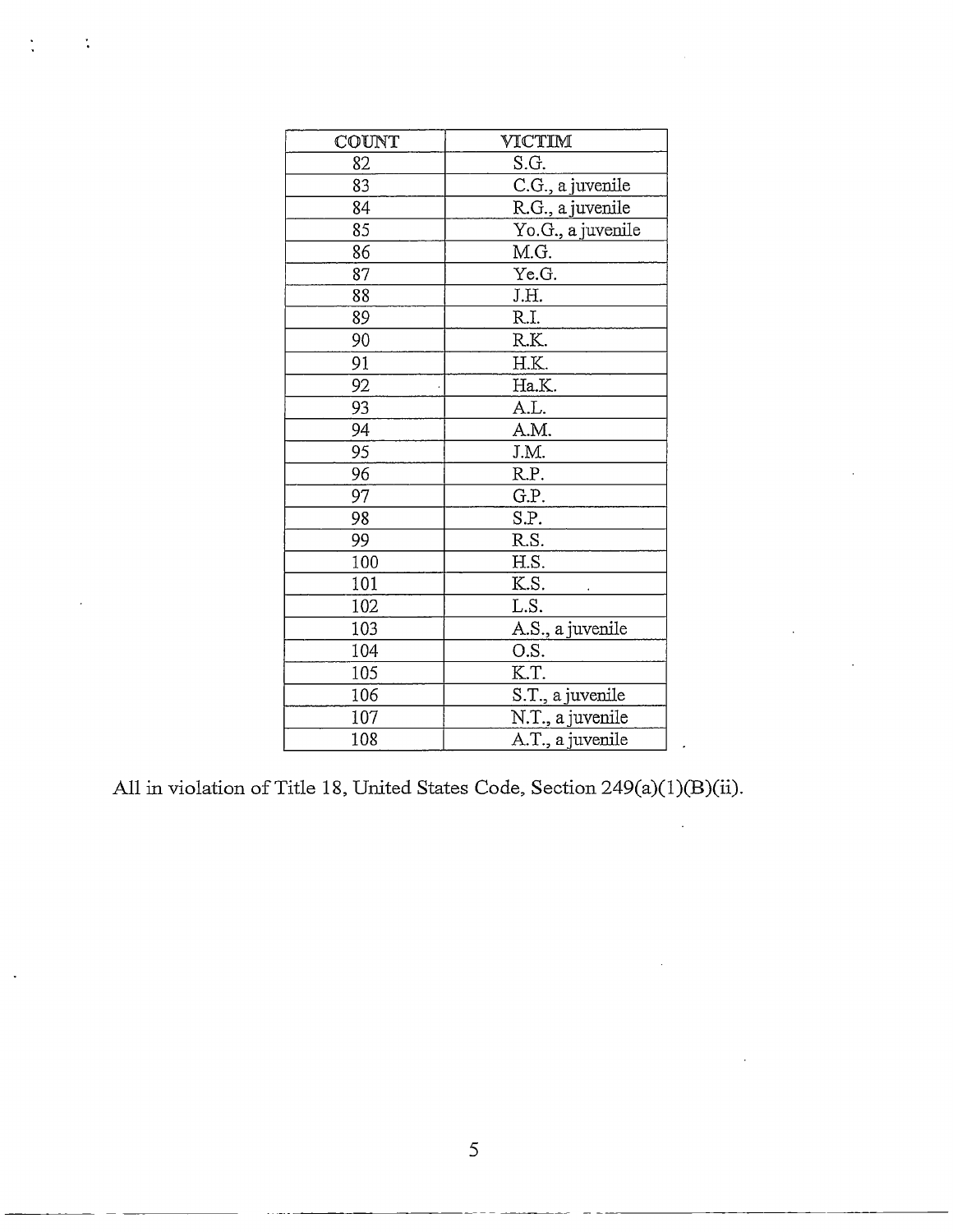| COUNT | VICTIM            |
|-------|-------------------|
| 82    | S.G.              |
| 83    | C.G., a juvenile  |
| 84    | R.G., a juvenile  |
| 85    | Yo.G., a juvenile |
| 86    | M.G.              |
| 87    | Ye.G.             |
| 88    | J.H.              |
| 89    | $\overline{R.I.}$ |
| 90    | R.K.              |
| 91    | H.K.              |
| 92    | Ha.K.             |
| 93    | A.L.              |
| 94    | A.M.              |
| 95    | J.M.              |
| 96    | R.P.              |
| 97    | G.P.              |
| 98    | S.P.              |
| 99    | R.S.              |
| 100   | $\overline{H.S.}$ |
| 101   | K.S.              |
| 102   | L.S.              |
| 103   | A.S., a juvenile  |
| 104   | O.S.              |
| 105   | $\overline{K.T.}$ |
| 106   | S.T., a juvenile  |
| 107   | N.T., a juvenile  |
| 108   | A.T., a juvenile  |

 $\ddot{\phantom{a}}$ 

All in violation of Title 18, United States Code, Section 249(a)(1)(B)(ii).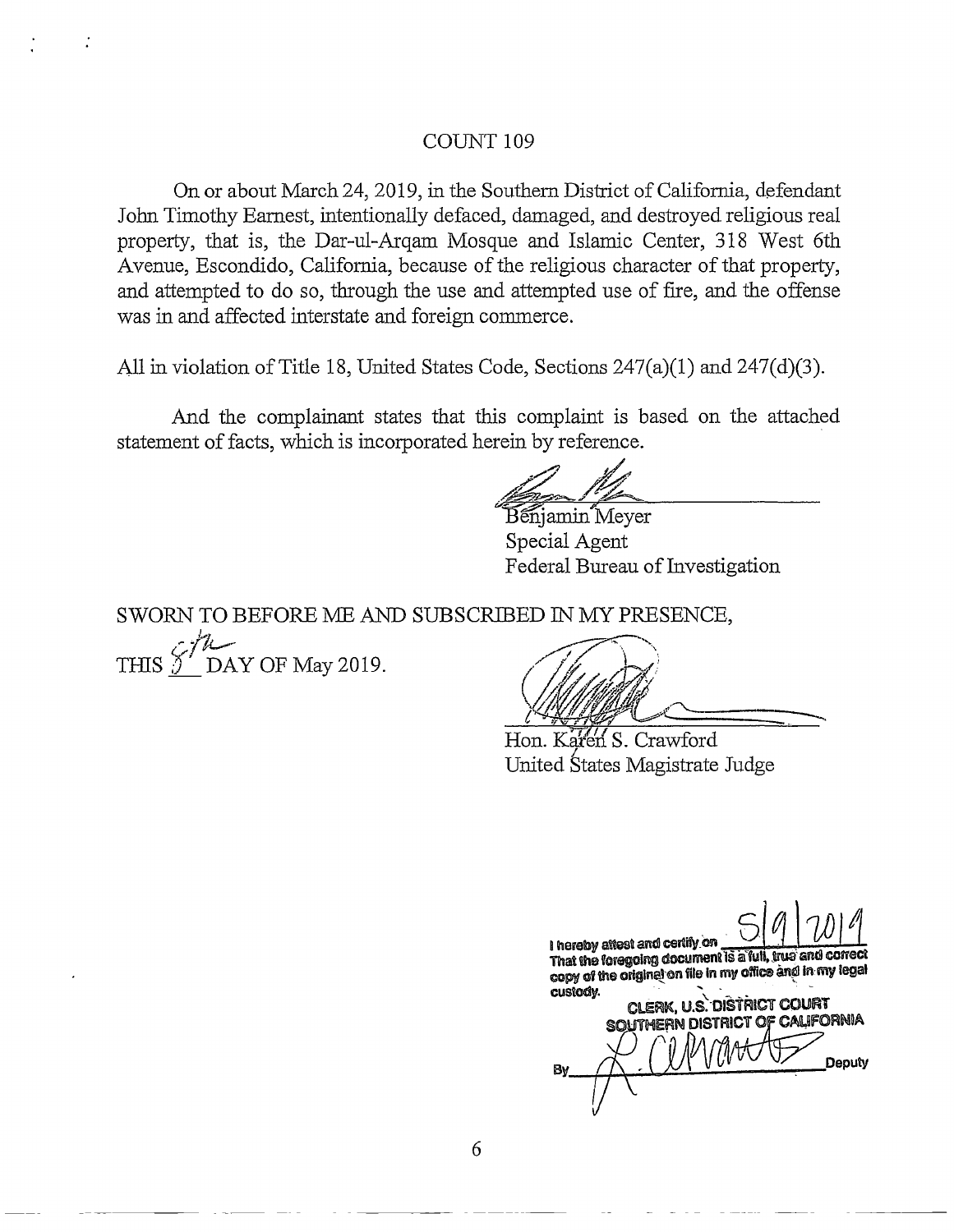### COUNT 109

On or about March 24, 2019, in the Southern District of California, defendant John Timothy Earnest, intentionally defaced, damaged, and destroyed religious real property, that is, the Dar-ul-Arqam Mosque and Islamic Center, 318 West 6th Avenue, Escondido, California, because of the religious character of that property, and attempted to do so, through the use and attempted use of fire, and the offense was in and affected interstate and foreign commerce.

All in violation of Title 18, United States Code, Sections  $247(a)(1)$  and  $247(d)(3)$ .

And the complainant states that this complaint is based on the attached statement of facts, which is incorporated herein by reference.

**for 1/1** 

 $\overline{\text{B}}$ énjamin Meyer Special Agent Federal Bureau of Investigation

SWORN TO BEFORE ME AND SUBSCRIBED IN MY PRESENCE, THIS  $\frac{67}{\cancel{h}}$  DAY OF May 2019.

----- -------

<sup>e</sup>~I'. •/ \ .'Jll·J/;,~ - .  $\sqrt{4\pi R^2}$ 

Hon. Karen S. Crawford United §tates Magistrate Judge

I hereby aftest and certify on That the foregoing document is a full, true and correct copy of the original on file in my office and in my legal custody. S. DISTRICT COURT **CALIFORNIA** SOUTHERN DISTRICT OF Deputy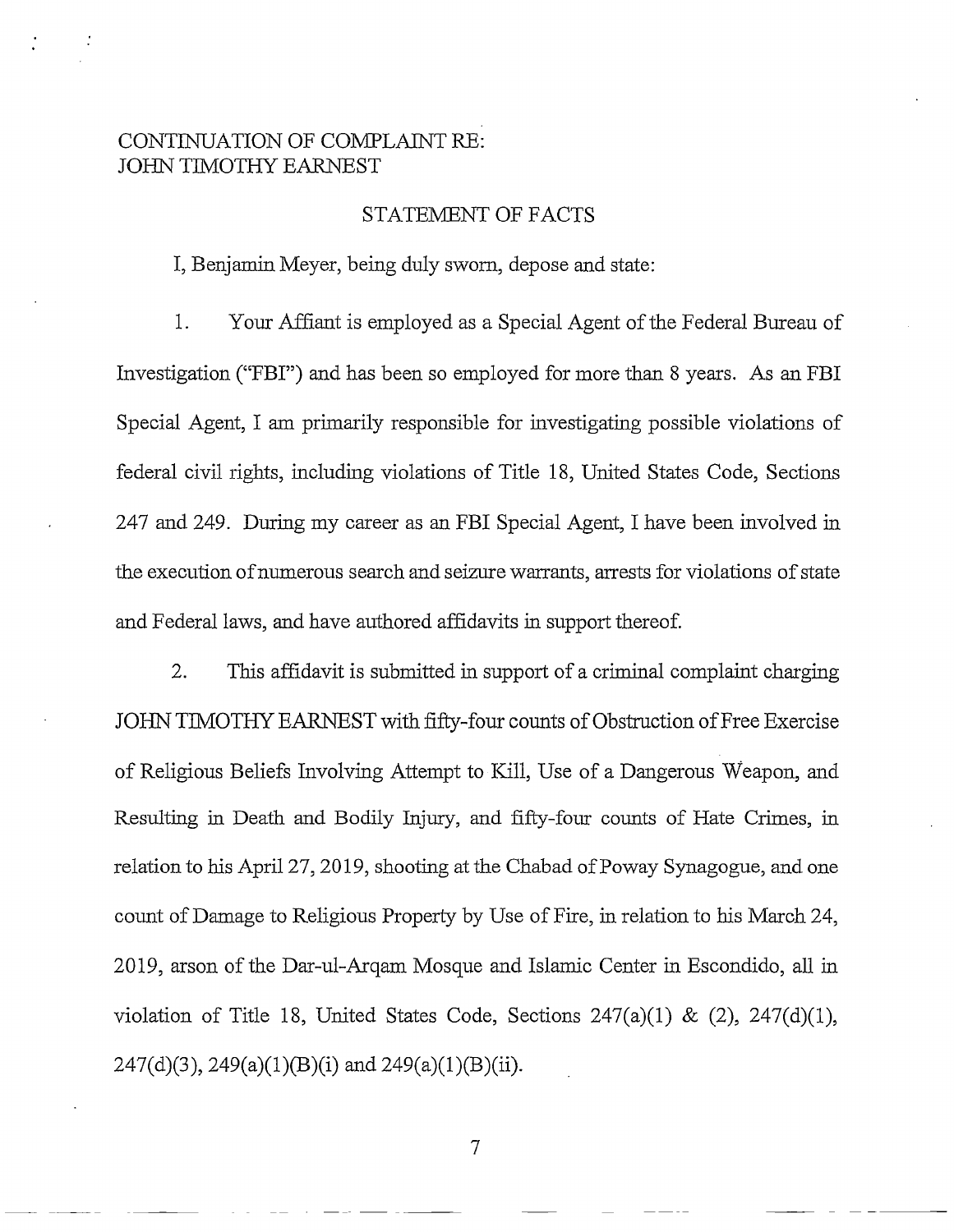# CONTINUATION OF COMPLAINT RE: JOHN TIMOTHY EARNEST

### STATEMENT OF FACTS

I, Benjamin Meyer, being duly sworn, depose and state:

1. Your Affiant is employed as a Special Agent of the Federal Bureau of Investigation ("FBI") and has been so employed for more than 8 years. As an FBI Special Agent, I am primarily responsible for investigating possible violations of federal civil rights, including violations of Title 18, United States Code, Sections 247 and 249. During my career as an FBI Special Agent, I have been involved in the execution of numerous search and seizure warrants, arrests for violations of state and Federal laws, and have authored affidavits in support thereof.

2. This affidavit is submitted in support of a criminal complaint charging JOHN TIMOTHY EARNEST with fifty-four counts of Obstruction of Free Exercise of Religious Beliefs Involving Attempt to Kill, Use of a Dangerous Weapon, and Resulting in Death and Bodily Injury, and fifty-four counts of Hate Crimes, in relation to his April 27, 2019, shooting at the Chabad of Poway Synagogue, and one count of Damage to Religious Property by Use of Fire, in relation to his March 24, 2019, arson of the Dar-ul-Arqam Mosque and Islamic Center in Escondido, all in violation of Title 18, United States Code, Sections  $247(a)(1)$  &  $(2)$ ,  $247(d)(1)$ ,  $247(d)(3)$ ,  $249(a)(1)(B)(i)$  and  $249(a)(1)(B)(ii)$ .

7

-------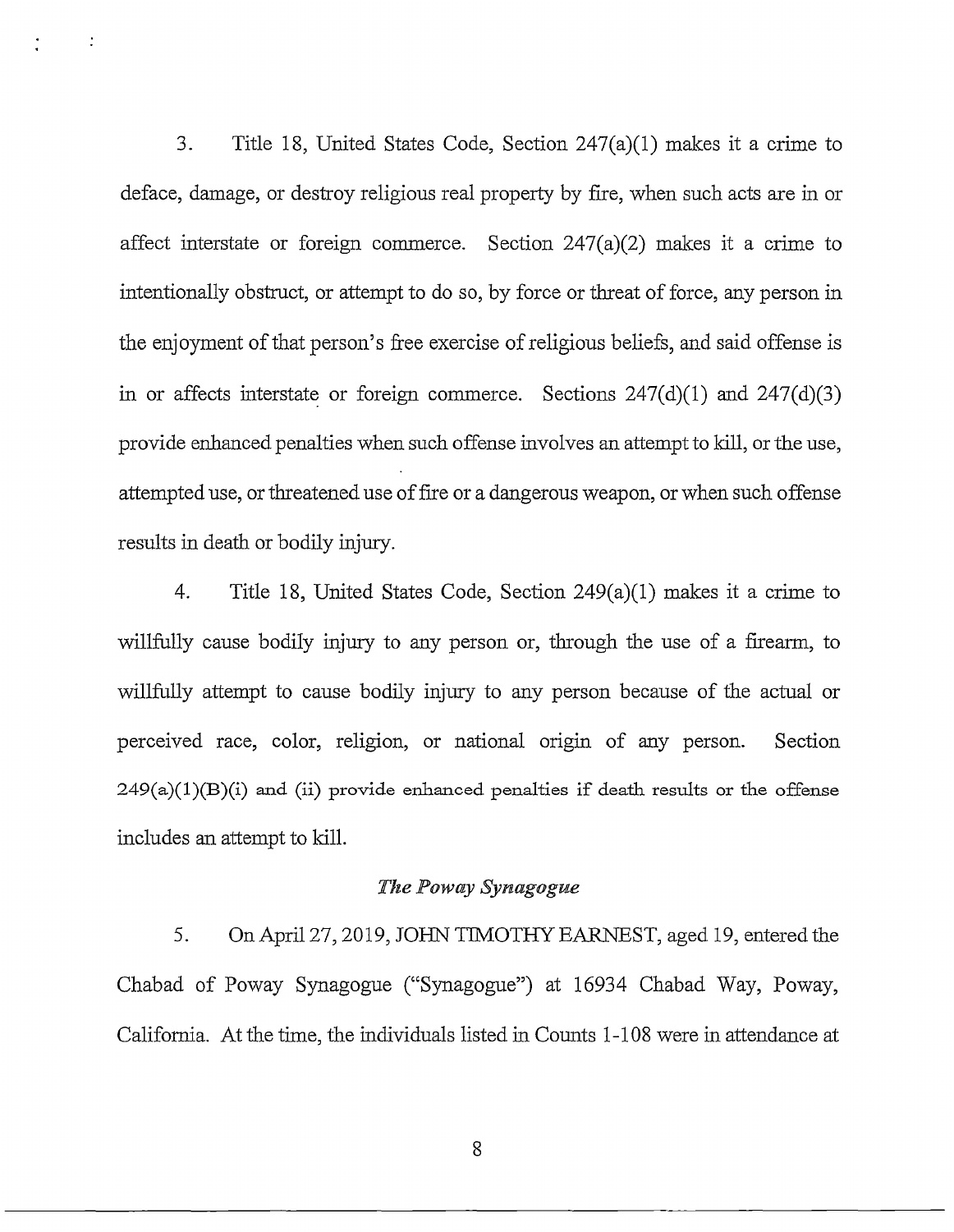3. Title 18, United States Code, Section 247(a)(l) makes it a crime to deface, damage, or destroy religious real property by fire, when such acts are in or affect interstate or foreign commerce. Section  $247(a)(2)$  makes it a crime to intentionally obstruct, or attempt to do so, by force or threat of force, any person in the enjoyment of that person's free exercise of religious beliefs, and said offense is in or affects interstate or foreign commerce. Sections  $247(d)(1)$  and  $247(d)(3)$ provide enhanced penalties when such offense involves an attempt to kill, or the use, attempted use, or threatened use of fire or a dangerous weapon, or when such offense results in death or bodily injury.

 $\ddot{\phantom{a}}$ 

4. Title 18, United States Code, Section 249(a)(l) makes it a crime to willfully cause bodily injury to any person or, through the use of a firearm, to willfully attempt to cause bodily injury to any person because of the actual or perceived race, color, religion, or national origin of any person. Section  $249(a)(1)(B)(i)$  and (ii) provide enhanced penalties if death results or the offense includes an attempt to kill.

### *The Poway Synagogue*

5. On April 27, 2019, JOHN TIMOTHY EARNEST, aged 19, entered the Chabad of Poway Synagogue ("Synagogue") at 16934 Chabad Way, Poway, California. At the time, the individuals listed in Counts 1-108 were in attendance at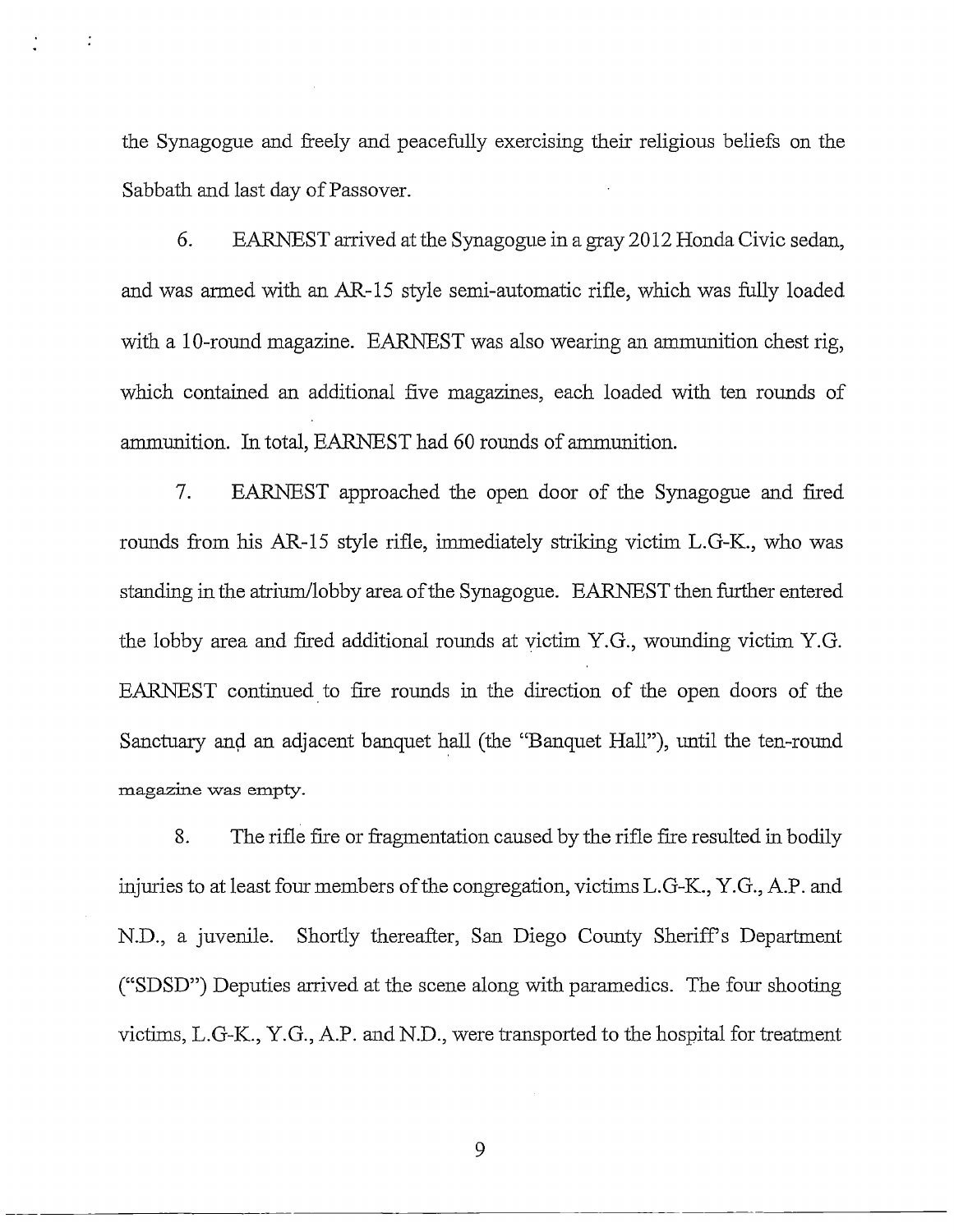the Synagogue and freely and peacefully exercising their religious beliefs on the Sabbath and last day of Passover.

6. EARNEST arrived at the Synagogue in a gray 2012 Honda Civic sedan, and was armed with an AR-15 style semi-automatic rifle, which was fully loaded with a 10-round magazine. EARNEST was also wearing an ammunition chest rig, which contained an additional five magazines, each loaded with ten rounds of ammunition. In total, EARNEST had 60 rounds of ammunition.

7. EARNEST approached the open door of the Synagogue and fired rounds from his AR-15 style rifle, immediately striking victim L.G-K., who was standing in the atrium/lobby area of the Synagogue. EARNEST then further entered the lobby area and fired additional rounds at victim Y.G., wounding victim Y.G. EARNEST continued to fire rounds in the direction of the open doors of the Sanctuary and an adjacent banquet hall (the "Banquet Hall"), until the ten-round magazine was empty.

8. The rifle fire or fragmentation caused by the rifle fire resulted in bodily injuries to at least four members of the congregation, victims L.G-K., Y.G., A.P. and N.D., a juvenile. Shortly thereafter, San Diego County Sheriff's Department ("SDSD") Deputies arrived at the scene along with paramedics. The four shooting victims, L.G-K., Y.G., A.P. and N.D., were transported to the hospital for treatment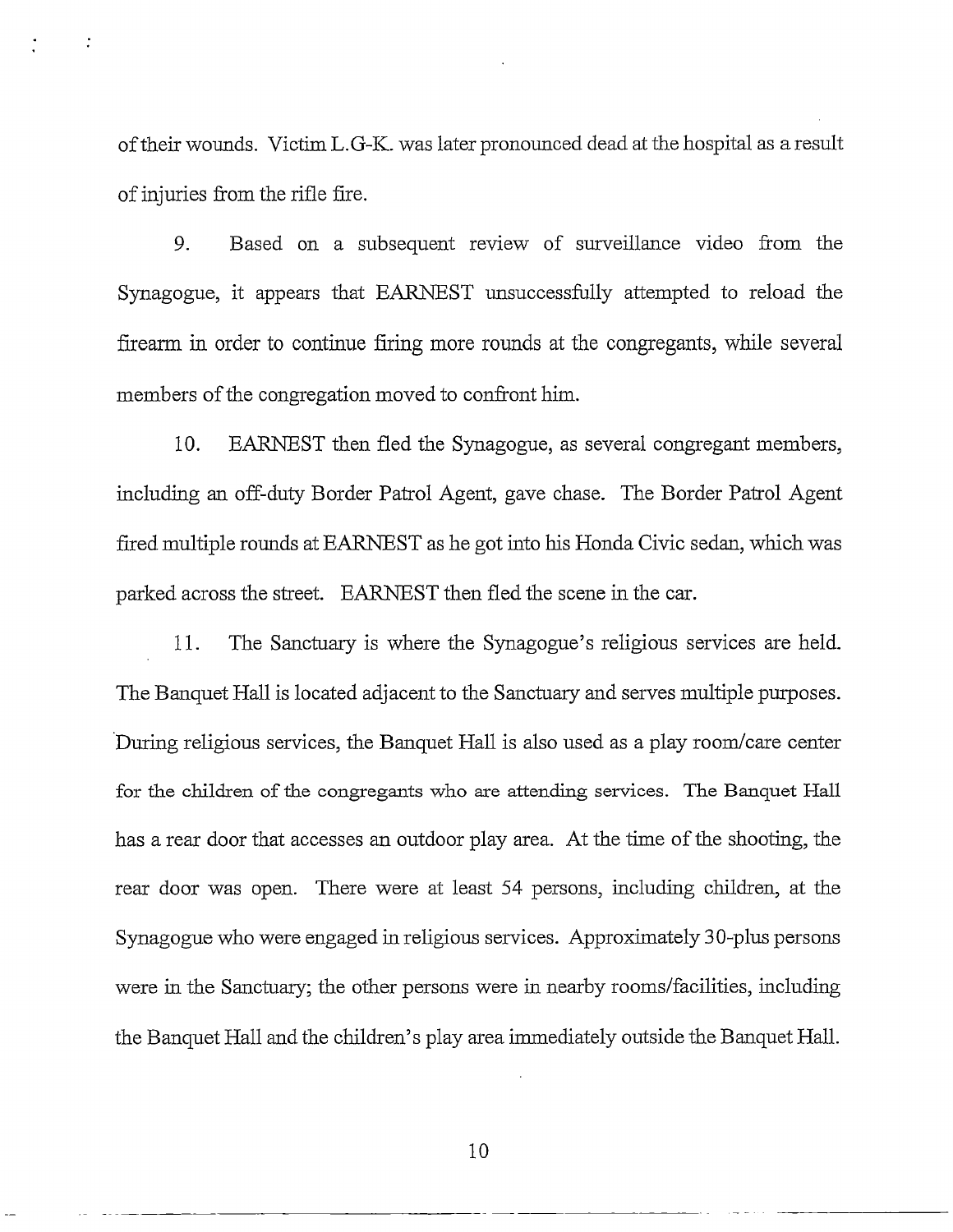of their wounds. Victim L.G-K. was later pronounced dead at the hospital as a result of injuries from the rifle fire.

9. Based on a subsequent review of surveillance video from the Synagogue, it appears that EARNEST unsuccessfully attempted to reload the firearm in order to continue firing more rounds at the congregants, while several members of the congregation moved to confront him.

10. EARNEST then fled the Synagogue, as several congregant members, including an off-duty Border Patrol Agent, gave chase. The Border Patrol Agent fired multiple rounds at EARNEST as he got into his Honda Civic sedan, which was parked across the street. EARNEST then fled the scene in the car.

11. The Sanctuary is where the Synagogue's religious services are held. The Banquet Hall is located adjacent to the Sanctuary and serves multiple purposes. During religious services, the Banquet Hall is also used as a play room/care center for the children of the congregants who are attending services. The Banquet Hall has a rear door that accesses an outdoor play area. At the time of the shooting, the rear door was open. There were at least 54 persons, including children, at the Synagogue who were engaged in religious services. Approximately 30-plus persons were in the Sanctuary; the other persons were in nearby rooms/facilities, including the Banquet Hall and the children's play area immediately outside the Banquet Hall.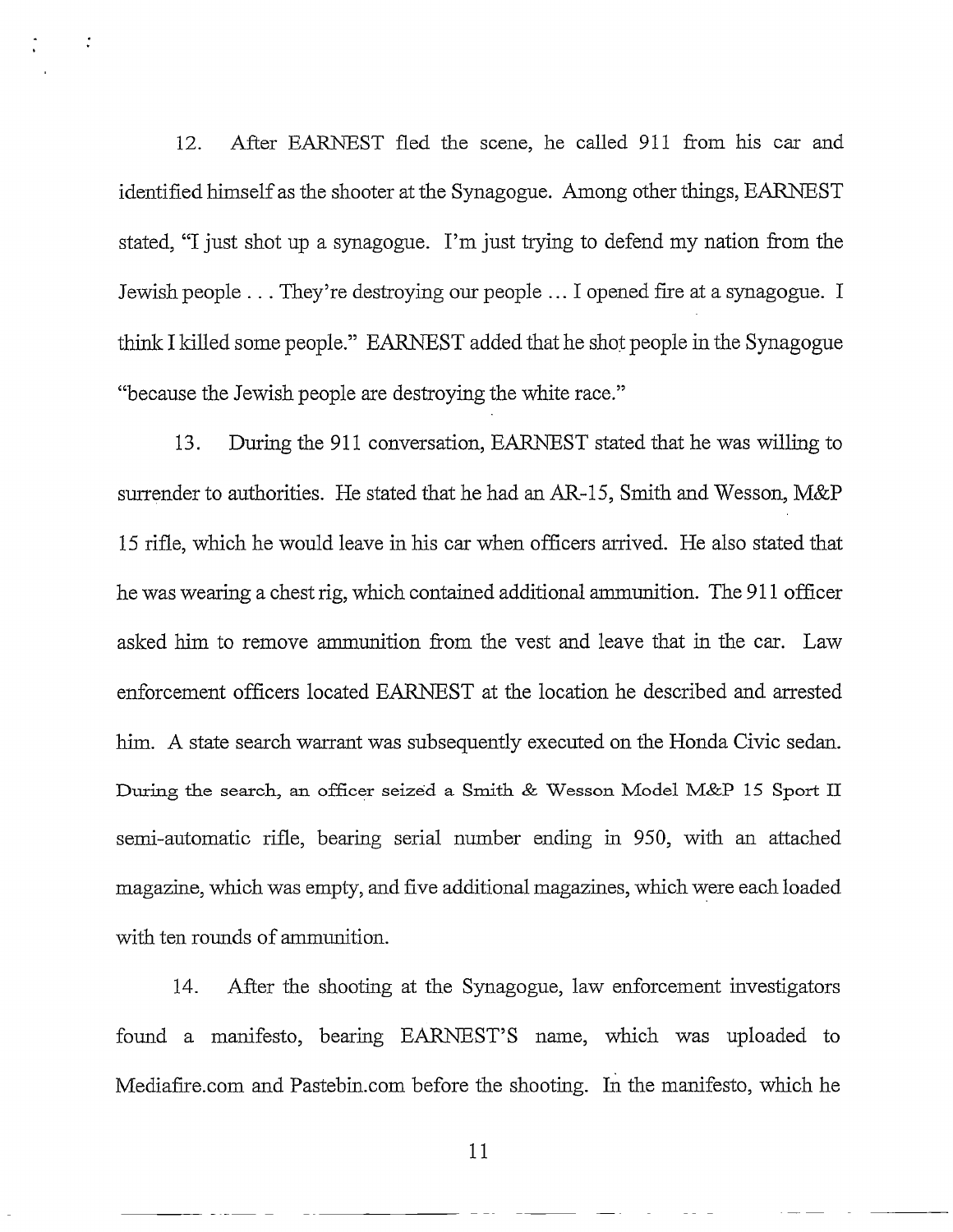12. After EARNEST fled the scene, he called 911 from his car and identified himself as the shooter at the Synagogue. Among other things, EARNEST stated, "I just shot up a synagogue. I'm just trying to defend my nation from the Jewish people ... They're destroying our people ... I opened fire at a synagogue. I think I killed some people." EARNEST added that he shot people in the Synagogue "because the Jewish people are destroying the white race."

13. During the 911 conversation, EARNEST stated that he was willing to surrender to authorities. He stated that he had an AR-15, Smith and Wesson, M&P 15 rifle, which he would leave in his car when officers arrived. He also stated that he was wearing a chest rig, which contained additional ammunition. The 911 officer asked him to remove ammunition from the vest and leave that in the car. Law enforcement officers located EARNEST at the location he described and arrested him. A state search warrant was subsequently executed on the Honda Civic sedan. During the search, an officer seized a Smith & Wesson Model M&P 15 Sport II semi-automatic rifle, bearing serial number ending in 950, with an attached magazine, which was empty, and five additional magazines, which were each loaded with ten rounds of ammunition.

14. After the shooting at the Synagogue, law enforcement investigators found a manifesto, bearing EARNEST'S name, which was uploaded to [Mediafire.com](https://Mediafire.com) and [Pastebin.com](https://Pastebin.com) before the shooting. In the manifesto, which he

11

-------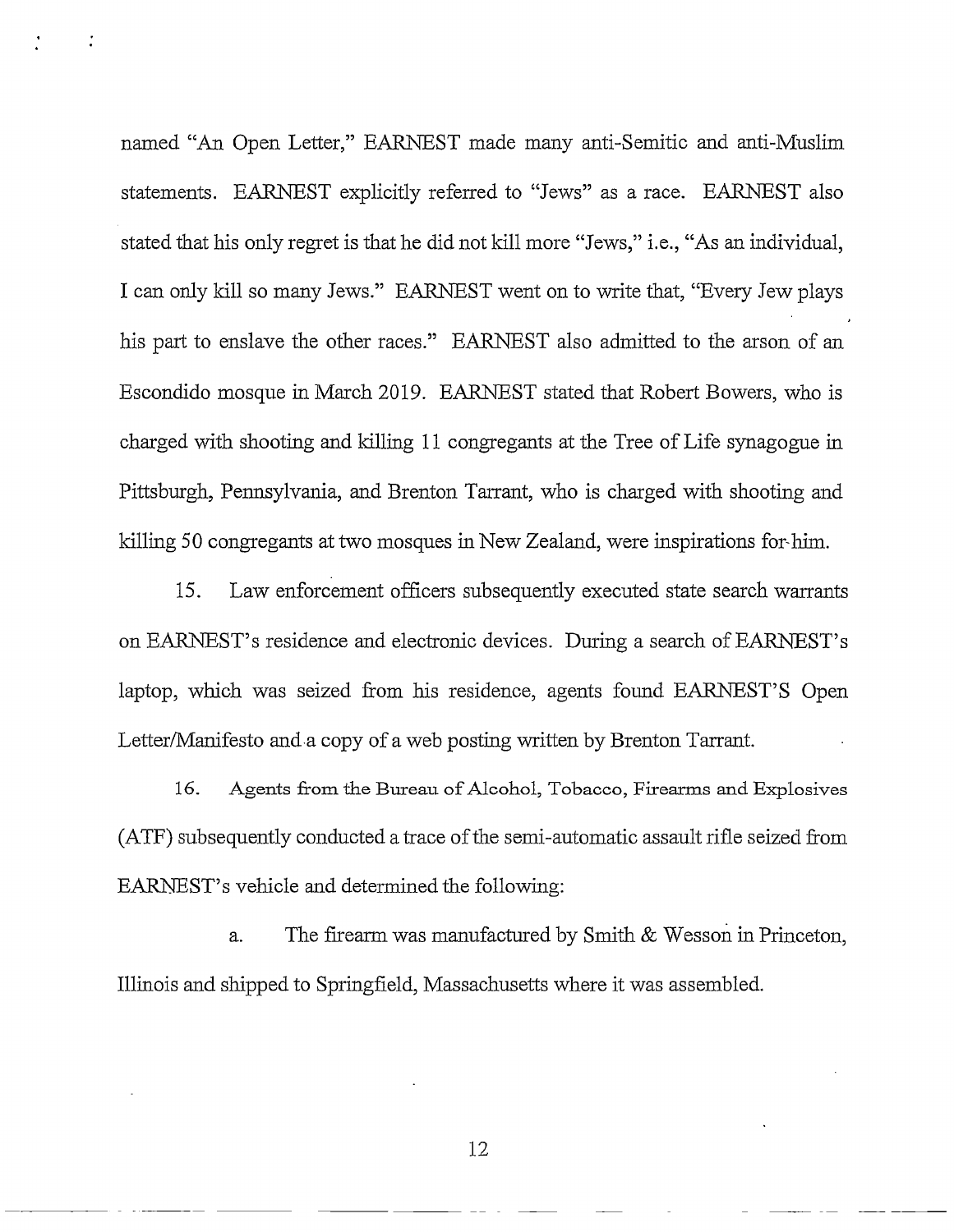named "An Open Letter," EARNEST made many anti-Semitic and anti-Muslim statements. EARNEST explicitly referred to "Jews" as a race. EARNEST also stated that his only regret is that he did not kill more "Jews," i.e., "As an individual, I can only kill so many Jews." EARNEST went on to write that, "Every Jew plays his part to enslave the other races." EARNEST also admitted to the arson of an Escondido mosque in March 2019. EARNEST stated that Robert Bowers, who is charged with shooting and killing 11 congregants at the Tree of Life synagogue in Pittsburgh, Pennsylvania, and Brenton Tarrant, who is charged with shooting and killing 50 congregants at two mosques in New Zealand, were inspirations for-him.

15. Law enforcement officers subsequently executed state search warrants on EARNEST's residence and electronic devices. During a search of EARNEST's laptop, which was seized from his residence, agents found EARNEST'S Open Letter/Manifesto and a copy of a web posting written by Brenton Tarrant.

16. Agents from the Bureau of Alcohol, Tobacco, Firearms and Explosives (ATF) subsequently conducted a trace of the semi-automatic assault rifle seized from EARNEST's vehicle and determined the following:

a. The firearm was manufactured by Smith & Wesson in Princeton, Illinois and shipped to Springfield, Massachusetts where it was assembled.

12

-<br>- -<del>-</del>-- -- -- ---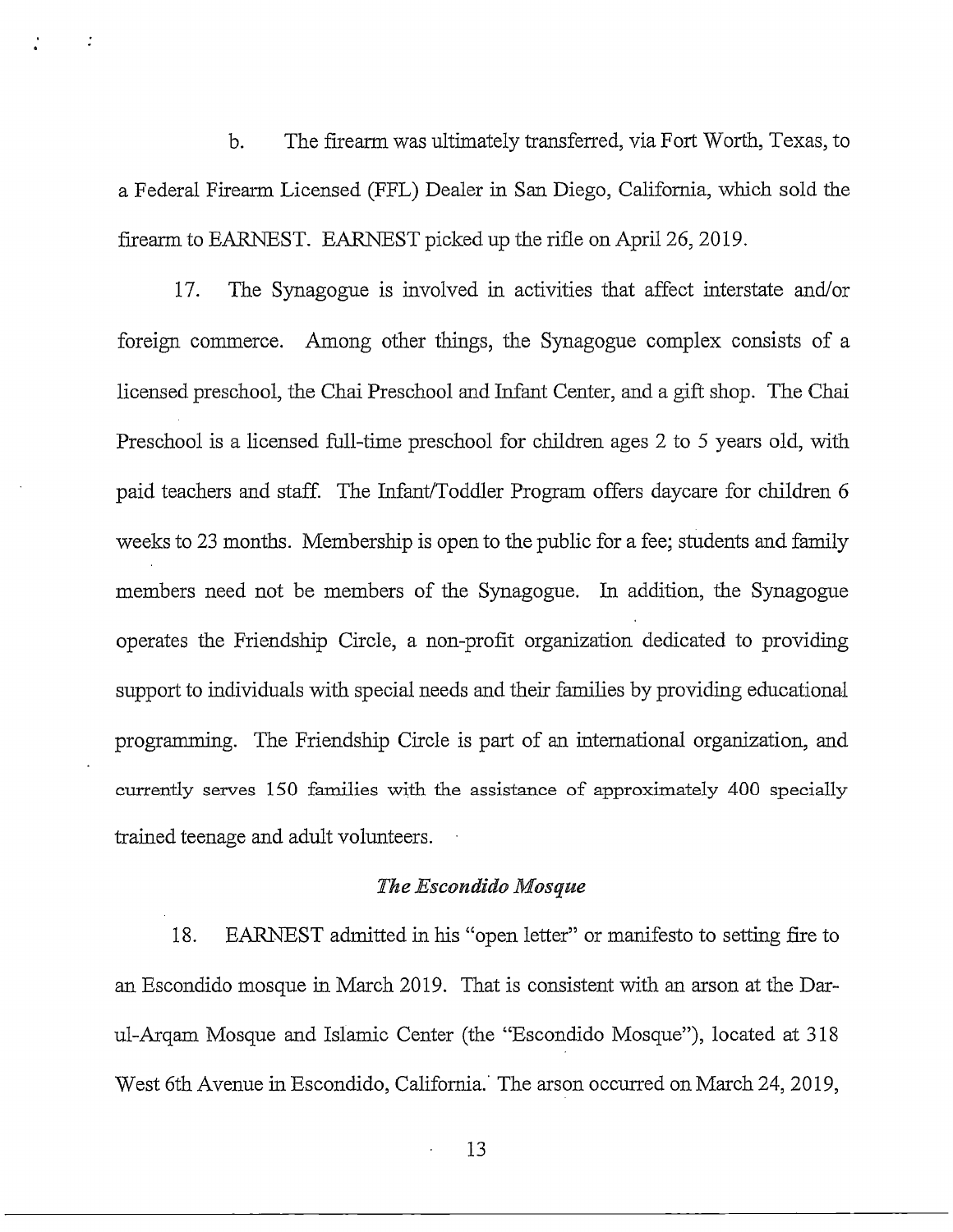b. The firearm was ultimately transferred, via Fort Worth, Texas, to a Federal Firearm Licensed (FFL) Dealer in San Diego, California, which sold the firearm to EARNEST. EARNEST picked up the rifle on April 26, 2019.

J,

17. The Synagogue is involved in activities that affect interstate and/or foreign commerce. Among other things, the Synagogue complex consists of a licensed preschool, the Chai Preschool and Infant Center, and a gift shop. The Chai Preschool is a licensed full-time preschool for children ages 2 to 5 years old, with paid teachers and staff. The Infant/Toddler Program offers daycare for children 6 weeks to 23 months. Membership is open to the public for a fee; students and family members need not be members of the Synagogue. In addition, the Synagogue operates the Friendship Circle, a non-profit organization dedicated to providing support to individuals with special needs and their families by providing educational programming. The Friendship Circle is part of an international organization, and currently serves 150 families with the assistance of approximately 400 specially trained teenage and adult volunteers.

#### *The Escondido Mosque*

18. EARNEST admitted in his "open letter" or manifesto to setting fire to an Escondido mosque in March 2019. That is consistent with an arson at the Darul-Arq am Mosque and Islamic Center (the "Escondido Mosque"), located at 318 West 6th Avenue in Escondido, California. The arson occurred on March 24, 2019,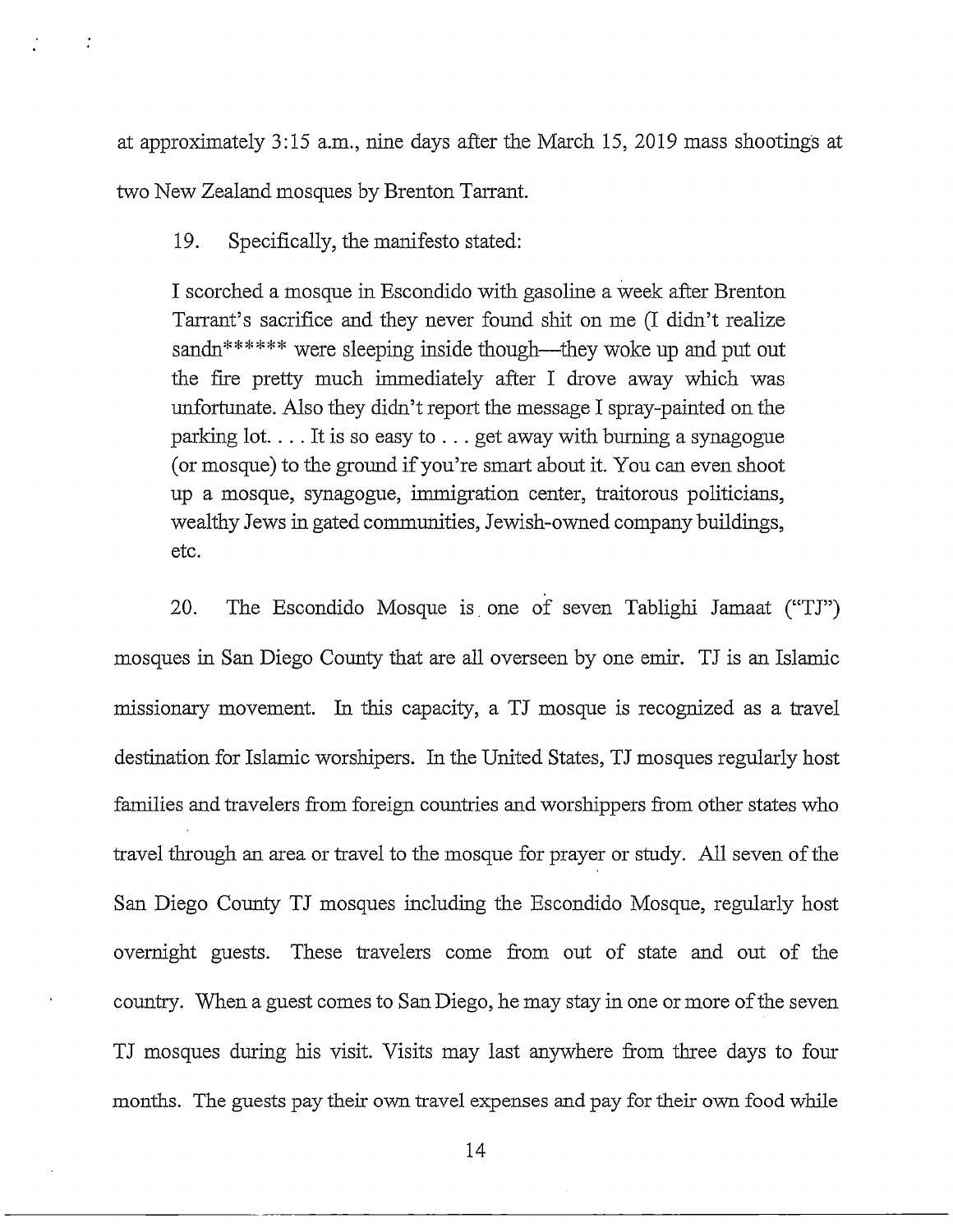at approximately 3:15 a.m., nine days after the March 15, 2019 mass shootings at two New Zealand mosques by Brenton Tarrant.

19. Specifically, the manifesto stated:

I scorched a mosque in Escondido with gasoline a week after Brenton Tarrant's sacrifice and they never found shit on me (I didn't realize sandn\*\*\*\*\*\* were sleeping inside though-they woke up and put out the fire pretty much immediately after I drove away which was unfortunate. Also they didn't report the message I spray-painted on the parking  $lot. \ldots$  It is so easy to  $\ldots$  get away with burning a synagogue (or mosque) to the ground if you're smart about it. You can even shoot up a mosque, synagogue, immigration center, traitorous politicians, wealthy Jews in gated communities, Jewish-owned company buildings, etc.

20. The Escondido Mosque is. one of seven Tablighi Jamaat ("TJ") mosques in San Diego County that are all overseen by one emir. TJ is an Islamic missionary movement. In this capacity, a TJ mosque is recognized as a travel destination for Islamic worshipers. In the United States, TJ mosques regularly host families and travelers from foreign countries and worshippers from other states who travel through an area or travel to the mosque for prayer or study. All seven of the San Diego County TJ mosques including the Escondido Mosque, regularly host overnight guests. These travelers come from out of state and out of the country. When a guest comes to San Diego, he may stay in one or more of the seven TJ mosques during his visit. Visits may last anywhere from three days to four months. The guests pay their own travel expenses and pay for their own food while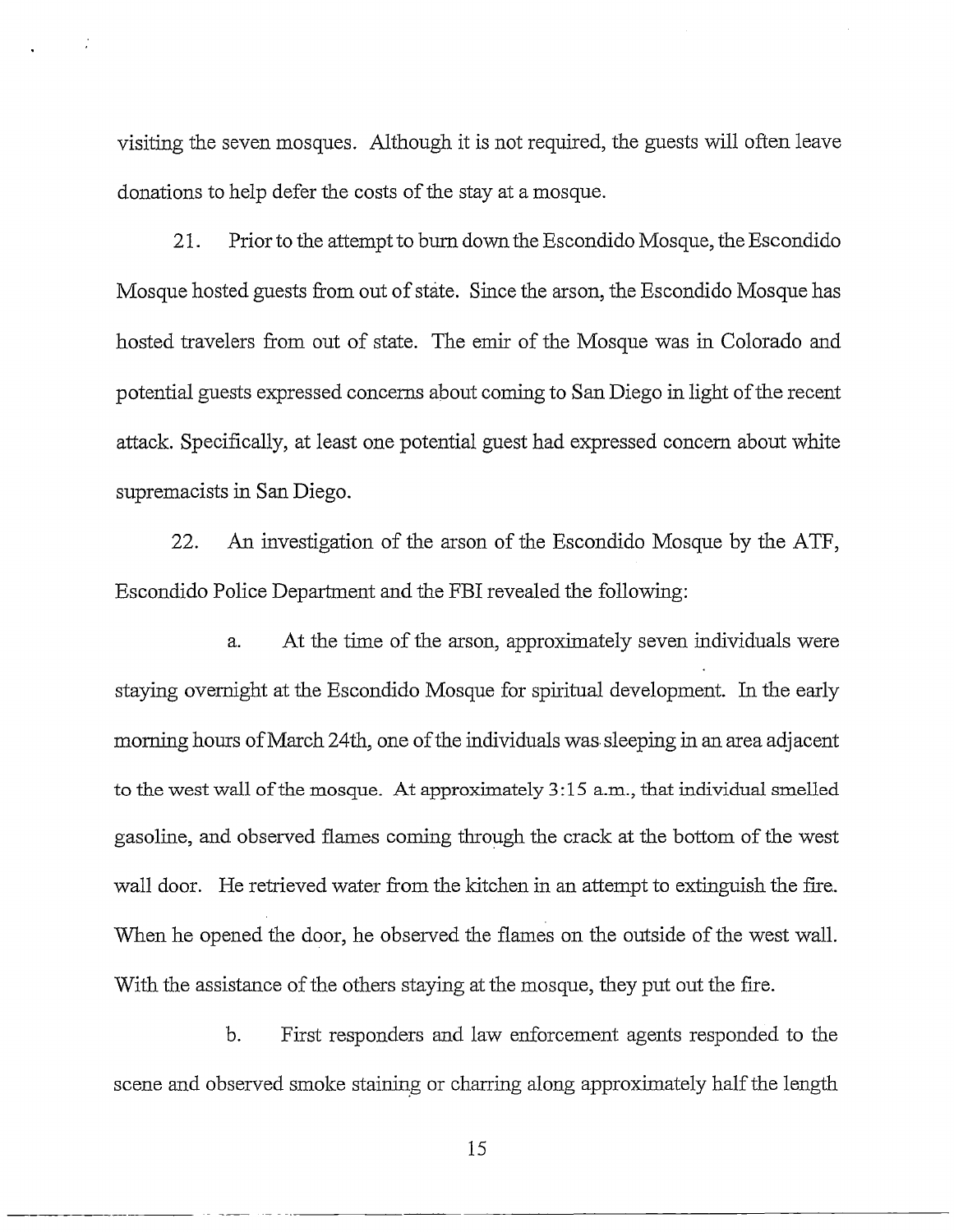visiting the seven mosques. Although it is not required, the guests will often leave donations to help defer the costs of the stay at a mosque.

21. Prior to the attempt to bum down the Escondido Mosque, the Escondido Mosque hosted guests from out of state. Since the arson, the Escondido Mosque has hosted travelers from out of state. The emir of the Mosque was in Colorado and potential guests expressed concerns about coming to San Diego in light of the recent attack. Specifically, at least one potential guest had expressed concern about white supremacists in San Diego.

22. An investigation of the arson of the Escondido Mosque by the ATF, Escondido Police Department and the FBI revealed the following:

a. At the time of the arson, approximately seven individuals were staying overnight at the Escondido Mosque for spiritual development. In the early morning hours ofMarch 24th, one of the individuals was sleeping in an area adjacent to the west wall of the mosque. At approximately 3:15 a.m., that individual smelled gasoline, and observed flames coming through the crack at the bottom of the west wall door. He retrieved water from the kitchen in an attempt to extinguish the fire. When he opened the door, he observed the flames on the outside of the west wall. With the assistance of the others staying at the mosque, they put out the fire.

b. First responders and law enforcement agents responded to the scene and observed smoke staining or charring along approximately half the length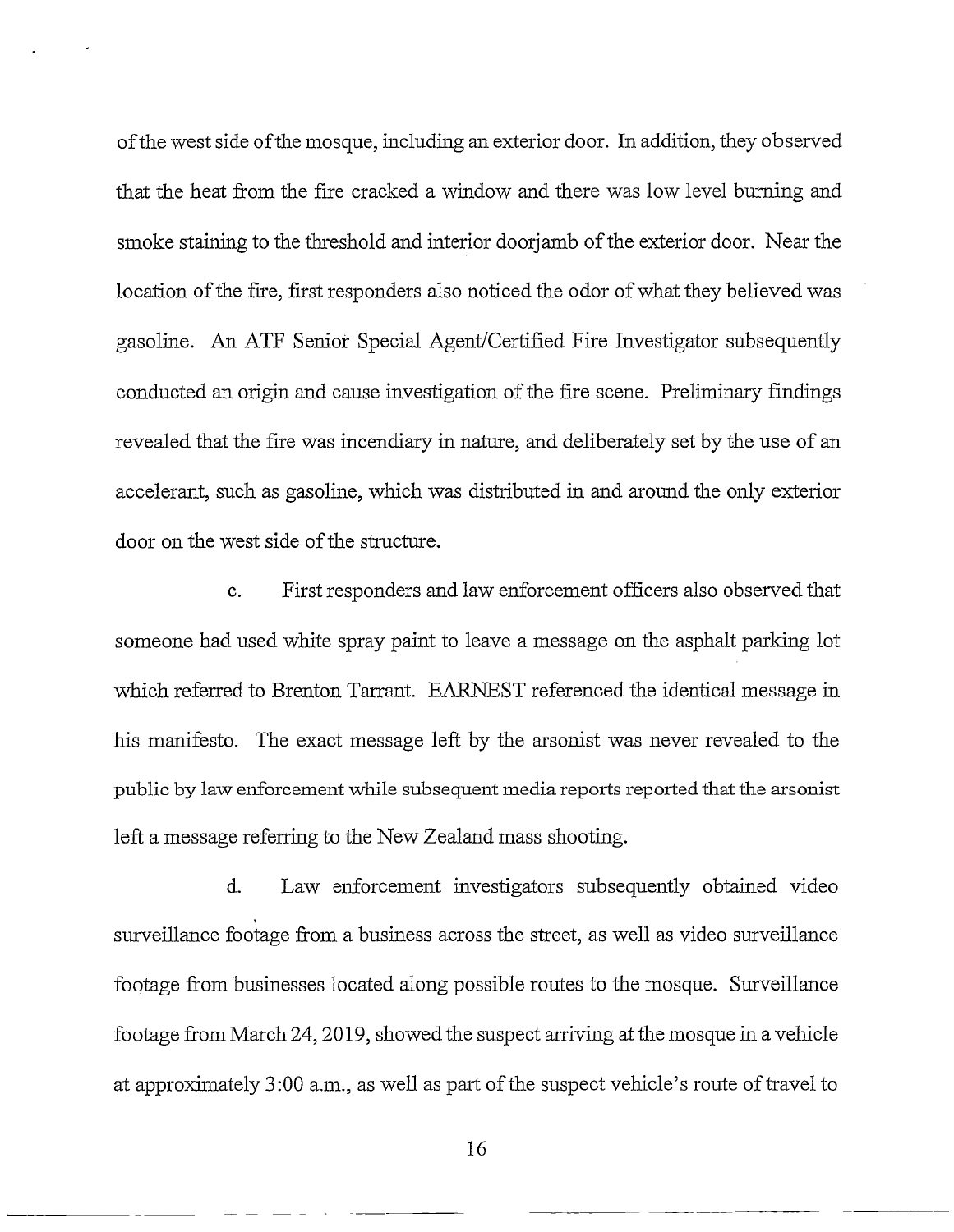of the west side of the mosque, including an exterior door. In addition, they observed that the heat from the fire cracked a window and there was low level burning and smoke staining to the threshold and interior doorjamb of the exterior door. Near the location of the fire, first responders also noticed the odor of what they believed was gasoline. An ATF Senior Special Agent/Certified Fire Investigator subsequently conducted an origin and cause investigation of the fire scene. Preliminary findings revealed that the fire was incendiary in nature, and deliberately set by the use of an accelerant, such as gasoline, which was distributed in and around the only exterior door on the west side of the structure.

c. First responders and law enforcement officers also observed that someone had used white spray paint to leave a message on the asphalt parking lot which referred to Brenton Tarrant. EARNEST referenced the identical message in his manifesto. The exact message left by the arsonist was never revealed to the public by law enforcement while subsequent media reports reported that the arsonist left a message referring to the New Zealand mass shooting.

d. Law enforcement investigators subsequently obtained video surveillance footage from a business across the street, as well as video surveillance footage from businesses located along possible routes to the mosque. Surveillance footage from March 24, 2019, showed the suspect arriving at the mosque in a vehicle at approximately 3:00 a.m., as well as part of the suspect vehicle's route of travel to

-------------